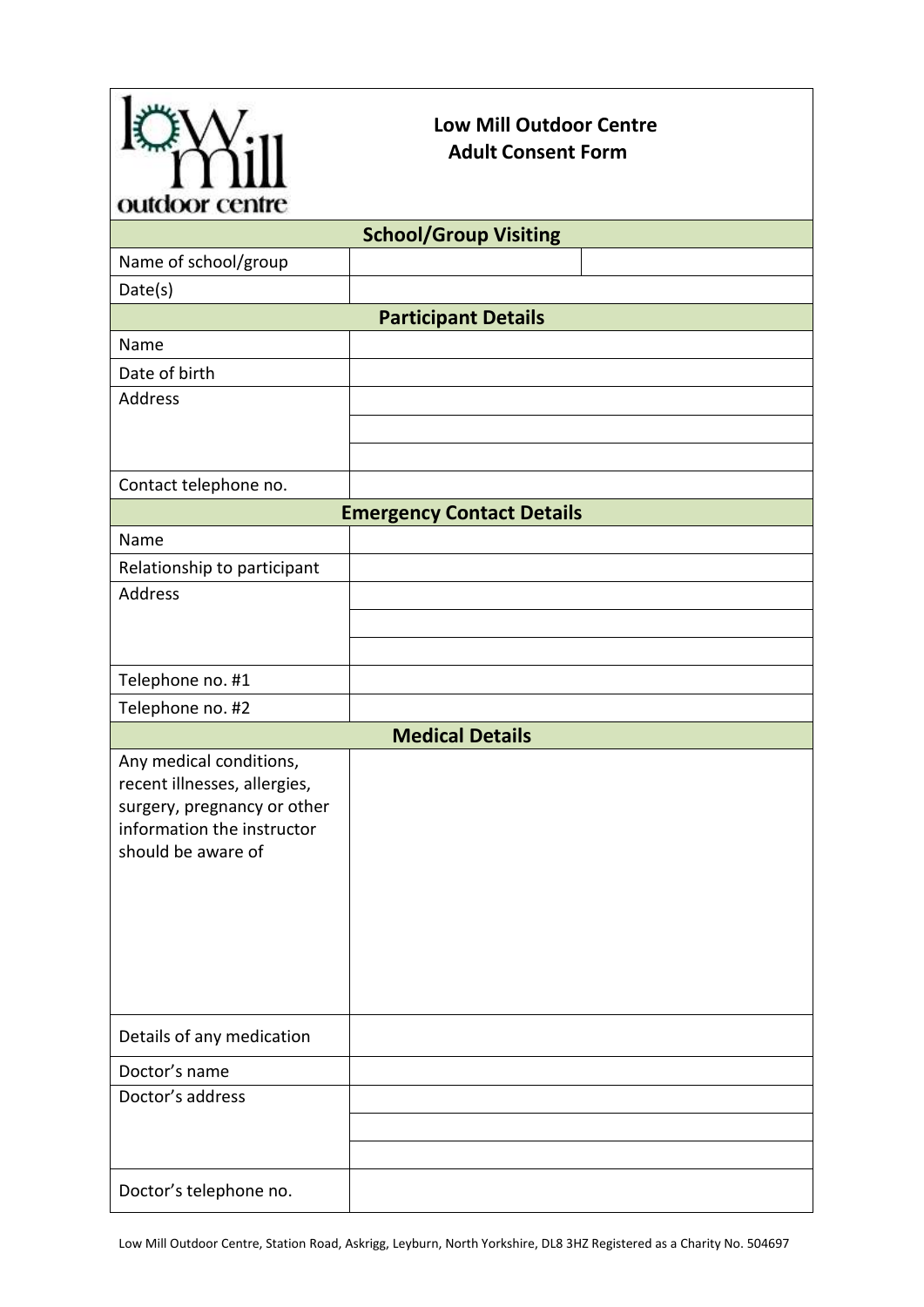

## **Low Mill Outdoor Centre Adult Consent Form**

| ournon cenne                                                                                                                               |  |  |
|--------------------------------------------------------------------------------------------------------------------------------------------|--|--|
| <b>School/Group Visiting</b>                                                                                                               |  |  |
| Name of school/group                                                                                                                       |  |  |
| Date(s)                                                                                                                                    |  |  |
| <b>Participant Details</b>                                                                                                                 |  |  |
| Name                                                                                                                                       |  |  |
| Date of birth                                                                                                                              |  |  |
| Address                                                                                                                                    |  |  |
|                                                                                                                                            |  |  |
|                                                                                                                                            |  |  |
| Contact telephone no.                                                                                                                      |  |  |
| <b>Emergency Contact Details</b>                                                                                                           |  |  |
| Name                                                                                                                                       |  |  |
| Relationship to participant                                                                                                                |  |  |
| <b>Address</b>                                                                                                                             |  |  |
|                                                                                                                                            |  |  |
|                                                                                                                                            |  |  |
| Telephone no. #1                                                                                                                           |  |  |
| Telephone no. #2                                                                                                                           |  |  |
| <b>Medical Details</b>                                                                                                                     |  |  |
| Any medical conditions,<br>recent illnesses, allergies,<br>surgery, pregnancy or other<br>information the instructor<br>should be aware of |  |  |
| Details of any medication                                                                                                                  |  |  |
| Doctor's name                                                                                                                              |  |  |
| Doctor's address                                                                                                                           |  |  |
|                                                                                                                                            |  |  |
|                                                                                                                                            |  |  |
| Doctor's telephone no.                                                                                                                     |  |  |